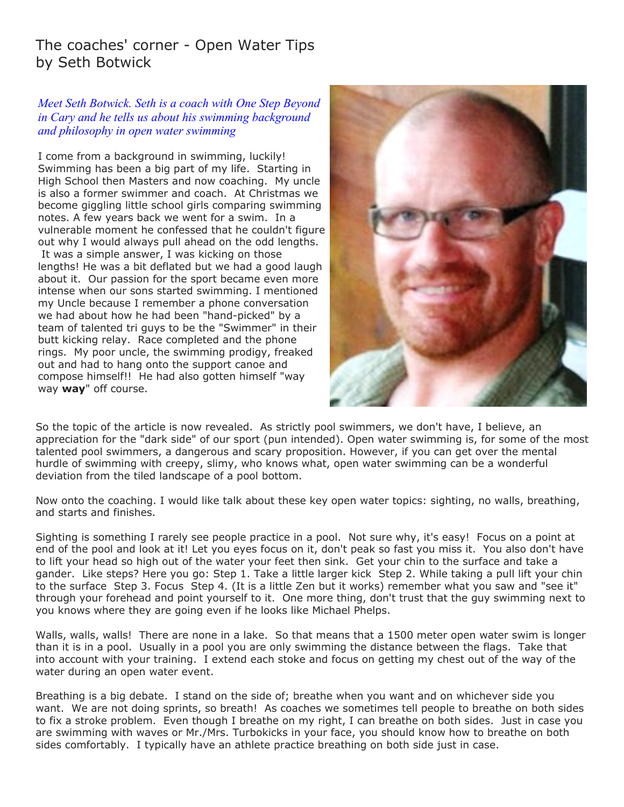## The coaches' corner - Open Water Tips by Seth Botwick

## *Meet Seth Botwick. Seth is a coach with One Step Beyond in Cary and he tells us about his swimming background and philosophy in open water swimming*

I come from a background in swimming, luckily! Swimming has been a big part of my life. Starting in High School then Masters and now coaching. My uncle is also a former swimmer and coach. At Christmas we become giggling little school girls comparing swimming notes. A few years back we went for a swim. In a vulnerable moment he confessed that he couldn't figure out why I would always pull ahead on the odd lengths. It was a simple answer, I was kicking on those lengths! He was a bit deflated but we had a good laugh about it. Our passion for the sport became even more intense when our sons started swimming. I mentioned my Uncle because I remember a phone conversation we had about how he had been "hand-picked" by a team of talented tri guys to be the "Swimmer" in their butt kicking relay. Race completed and the phone rings. My poor uncle, the swimming prodigy, freaked out and had to hang onto the support canoe and compose himself!! He had also gotten himself "way way **way**" off course.



So the topic of the article is now revealed. As strictly pool swimmers, we don't have, I believe, an appreciation for the "dark side" of our sport (pun intended). Open water swimming is, for some of the most talented pool swimmers, a dangerous and scary proposition. However, if you can get over the mental hurdle of swimming with creepy, slimy, who knows what, open water swimming can be a wonderful deviation from the tiled landscape of a pool bottom.

Now onto the coaching. I would like talk about these key open water topics: sighting, no walls, breathing, and starts and finishes.

Sighting is something I rarely see people practice in a pool. Not sure why, it's easy! Focus on a point at end of the pool and look at it! Let you eyes focus on it, don't peak so fast you miss it. You also don't have to lift your head so high out of the water your feet then sink. Get your chin to the surface and take a gander. Like steps? Here you go: Step 1. Take a little larger kick Step 2. While taking a pull lift your chin to the surface Step 3. Focus Step 4. (It is a little Zen but it works) remember what you saw and "see it" through your forehead and point yourself to it. One more thing, don't trust that the guy swimming next to you knows where they are going even if he looks like Michael Phelps.

Walls, walls, walls! There are none in a lake. So that means that a 1500 meter open water swim is longer than it is in a pool. Usually in a pool you are only swimming the distance between the flags. Take that into account with your training. I extend each stoke and focus on getting my chest out of the way of the water during an open water event.

Breathing is a big debate. I stand on the side of; breathe when you want and on whichever side you want. We are not doing sprints, so breath! As coaches we sometimes tell people to breathe on both sides to fix a stroke problem. Even though I breathe on my right, I can breathe on both sides. Just in case you are swimming with waves or Mr./Mrs. Turbokicks in your face, you should know how to breathe on both sides comfortably. I typically have an athlete practice breathing on both side just in case.